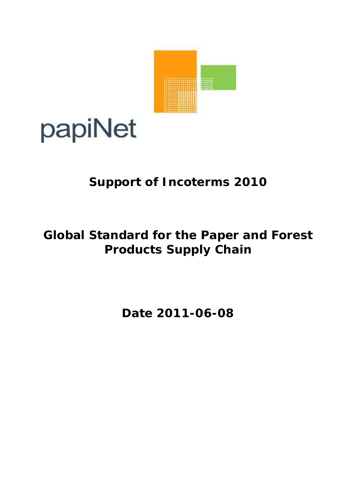

# papiNet

# **Support of Incoterms 2010**

# **Global Standard for the Paper and Forest Products Supply Chain**

**Date 2011-06-08**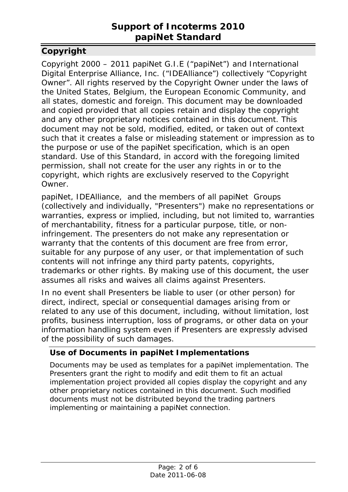# **Support of Incoterms 2010 papiNet Standard**

# <span id="page-1-0"></span>**Copyright**

Copyright 2000 – 2011 papiNet G.I.E ("papiNet") and International Digital Enterprise Alliance, Inc. ("IDEAlliance") collectively "Copyright Owner". All rights reserved by the Copyright Owner under the laws of the United States, Belgium, the European Economic Community, and all states, domestic and foreign. This document may be downloaded and copied provided that all copies retain and display the copyright and any other proprietary notices contained in this document. This document may not be sold, modified, edited, or taken out of context such that it creates a false or misleading statement or impression as to the purpose or use of the papiNet specification, which is an open standard. Use of this Standard, in accord with the foregoing limited permission, shall not create for the user any rights in or to the copyright, which rights are exclusively reserved to the Copyright Owner.

papiNet, IDEAlliance, and the members of all papiNet Groups (collectively and individually, "Presenters") make no representations or warranties, express or implied, including, but not limited to, warranties of merchantability, fitness for a particular purpose, title, or noninfringement. The presenters do not make any representation or warranty that the contents of this document are free from error, suitable for any purpose of any user, or that implementation of such contents will not infringe any third party patents, copyrights, trademarks or other rights. By making use of this document, the user assumes all risks and waives all claims against Presenters.

In no event shall Presenters be liable to user (or other person) for direct, indirect, special or consequential damages arising from or related to any use of this document, including, without limitation, lost profits, business interruption, loss of programs, or other data on your information handling system even if Presenters are expressly advised of the possibility of such damages.

#### <span id="page-1-1"></span>**Use of Documents in papiNet Implementations**

Documents may be used as templates for a papiNet implementation. The Presenters grant the right to modify and edit them to fit an actual implementation project provided all copies display the copyright and any other proprietary notices contained in this document. Such modified documents must not be distributed beyond the trading partners implementing or maintaining a papiNet connection.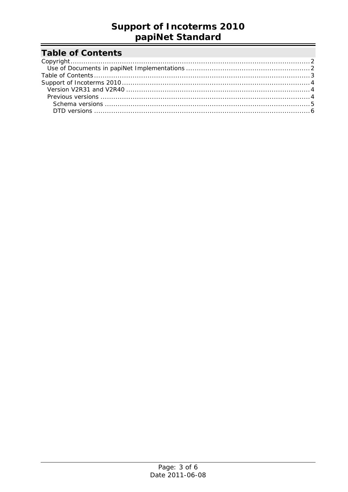# **Support of Incoterms 2010** papiNet Standard

# <span id="page-2-0"></span>**Table of Contents**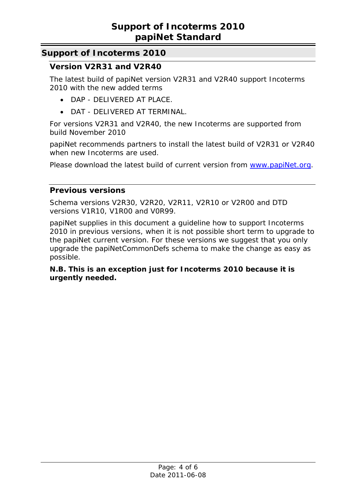## <span id="page-3-1"></span><span id="page-3-0"></span>**Support of Incoterms 2010**

### **Version V2R31 and V2R40**

The latest build of papiNet version V2R31 and V2R40 support Incoterms 2010 with the new added terms

- DAP DELIVERED AT PLACE.
- DAT DELIVERED AT TERMINAL.

For versions V2R31 and V2R40, the new Incoterms are supported from build November 2010

papiNet recommends partners to install the latest build of V2R31 or V2R40 when new Incoterms are used.

Please download the latest build of current version from [www.papiNet.org](http://www.papinet.org/).

#### <span id="page-3-2"></span>**Previous versions**

Schema versions V2R30, V2R20, V2R11, V2R10 or V2R00 and DTD versions V1R10, V1R00 and V0R99.

papiNet supplies in this document a guideline how to support Incoterms 2010 in previous versions, when it is not possible short term to upgrade to the papiNet current version. For these versions we suggest that you only upgrade the papiNetCommonDefs schema to make the change as easy as possible.

#### *N.B. This is an exception just for Incoterms 2010 because it is urgently needed.*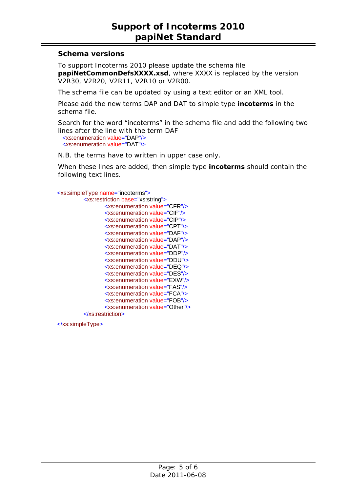#### <span id="page-4-0"></span>**Schema versions**

To support Incoterms 2010 please update the schema file **papiNetCommonDefsXXXX.xsd**, where XXXX is replaced by the version V2R30, V2R20, V2R11, V2R10 or V2R00.

The schema file can be updated by using a text editor or an XML tool.

Please add the new terms DAP and DAT to simple type **incoterms** in the schema file.

Search for the word "incoterms" in the schema file and add the following two lines after the line with the term DAF <xs:enumeration value="DAP"/> <xs:enumeration value="DAT"/>

N.B. the terms have to written in upper case only.

When these lines are added, then simple type **incoterms** should contain the following text lines.

<xs:simpleType name="incoterms">

 <xs:restriction base="xs:string"> <xs:enumeration value="CFR"/> <xs:enumeration value="CIF"/> <xs:enumeration value="CIP"/> <xs:enumeration value="CPT"/> <xs:enumeration value="DAF"/> <xs:enumeration value="DAP"/> <xs:enumeration value="DAT"/> <xs:enumeration value="DDP"/> <xs:enumeration value="DDU"/> <xs:enumeration value="DEQ"/> <xs:enumeration value="DES"/> <xs:enumeration value="EXW"/> <xs:enumeration value="FAS"/> <xs:enumeration value="FCA"/> <xs:enumeration value="FOB"/> <xs:enumeration value="Other"/>

</xs:restriction>

</xs:simpleType>